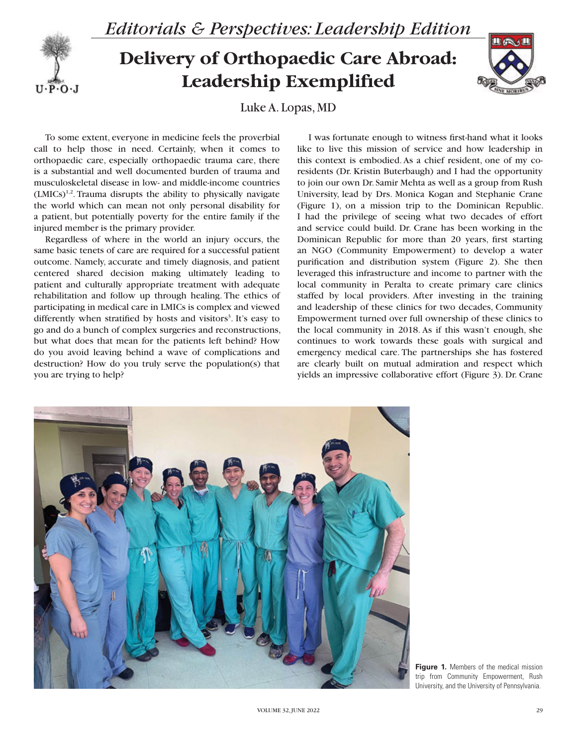

## $U \cdot P \cdot O \cdot J$

## **Delivery of Orthopaedic Care Abroad: Leadership Exemplified**



Luke A. Lopas, MD

To some extent, everyone in medicine feels the proverbial call to help those in need. Certainly, when it comes to orthopaedic care, especially orthopaedic trauma care, there is a substantial and well documented burden of trauma and musculoskeletal disease in low- and middle-income countries  $(LMICs)^{1,2}$ . Trauma disrupts the ability to physically navigate the world which can mean not only personal disability for a patient, but potentially poverty for the entire family if the injured member is the primary provider.

Regardless of where in the world an injury occurs, the same basic tenets of care are required for a successful patient outcome. Namely, accurate and timely diagnosis, and patient centered shared decision making ultimately leading to patient and culturally appropriate treatment with adequate rehabilitation and follow up through healing. The ethics of participating in medical care in LMICs is complex and viewed differently when stratified by hosts and visitors<sup>3</sup>. It's easy to go and do a bunch of complex surgeries and reconstructions, but what does that mean for the patients left behind? How do you avoid leaving behind a wave of complications and destruction? How do you truly serve the population(s) that you are trying to help?

I was fortunate enough to witness first-hand what it looks like to live this mission of service and how leadership in this context is embodied. As a chief resident, one of my coresidents (Dr. Kristin Buterbaugh) and I had the opportunity to join our own Dr. Samir Mehta as well as a group from Rush University, lead by Drs. Monica Kogan and Stephanie Crane (Figure 1), on a mission trip to the Dominican Republic. I had the privilege of seeing what two decades of effort and service could build. Dr. Crane has been working in the Dominican Republic for more than 20 years, first starting an NGO (Community Empowerment) to develop a water purification and distribution system (Figure 2). She then leveraged this infrastructure and income to partner with the local community in Peralta to create primary care clinics staffed by local providers. After investing in the training and leadership of these clinics for two decades, Community Empowerment turned over full ownership of these clinics to the local community in 2018. As if this wasn't enough, she continues to work towards these goals with surgical and emergency medical care. The partnerships she has fostered are clearly built on mutual admiration and respect which yields an impressive collaborative effort (Figure 3). Dr. Crane



**Figure 1.** Members of the medical mission trip from Community Empowerment, Rush University, and the University of Pennsylvania.